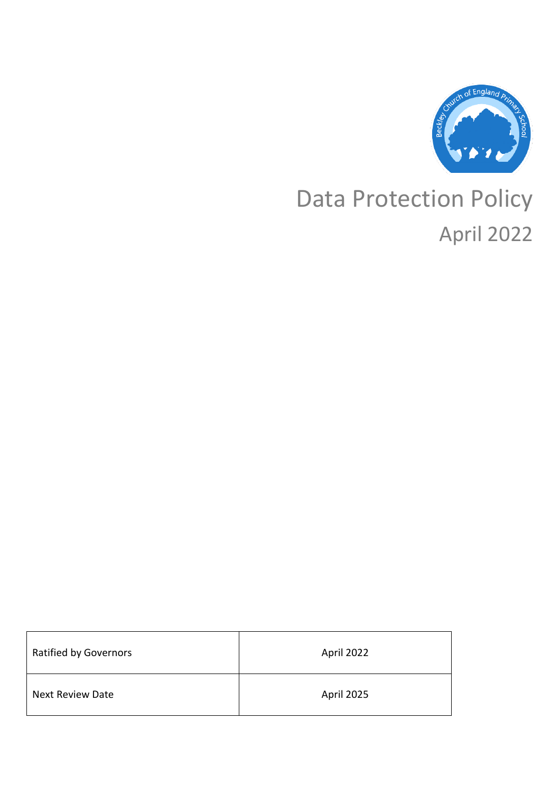

# Data Protection Policy April 2022

| <b>Ratified by Governors</b> | April 2022 |
|------------------------------|------------|
| <b>Next Review Date</b>      | April 2025 |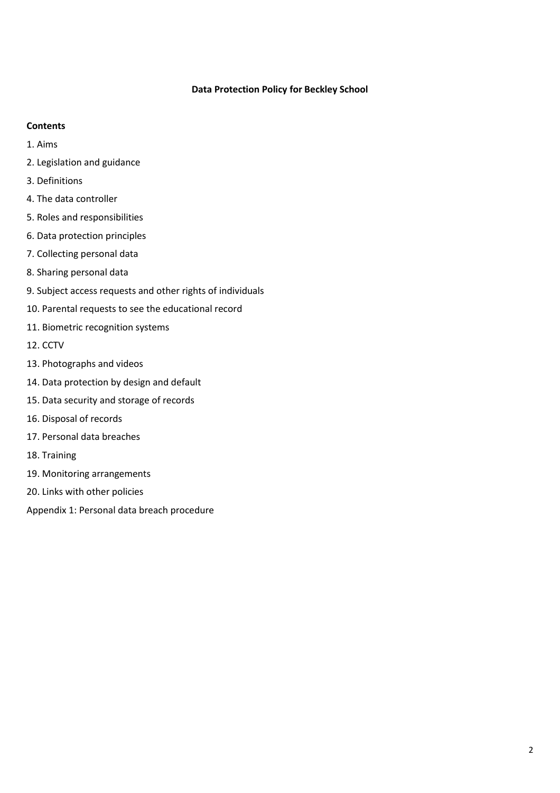## **Data Protection Policy for Beckley School**

## **Contents**

- 1. Aims
- 2. Legislation and guidance
- 3. Definitions
- 4. The data controller
- 5. Roles and responsibilities
- 6. Data protection principles
- 7. Collecting personal data
- 8. Sharing personal data
- 9. Subject access requests and other rights of individuals
- 10. Parental requests to see the educational record
- 11. Biometric recognition systems
- 12. CCTV
- 13. Photographs and videos
- 14. Data protection by design and default
- 15. Data security and storage of records
- 16. Disposal of records
- 17. Personal data breaches
- 18. Training
- 19. Monitoring arrangements
- 20. Links with other policies

Appendix 1: Personal data breach procedure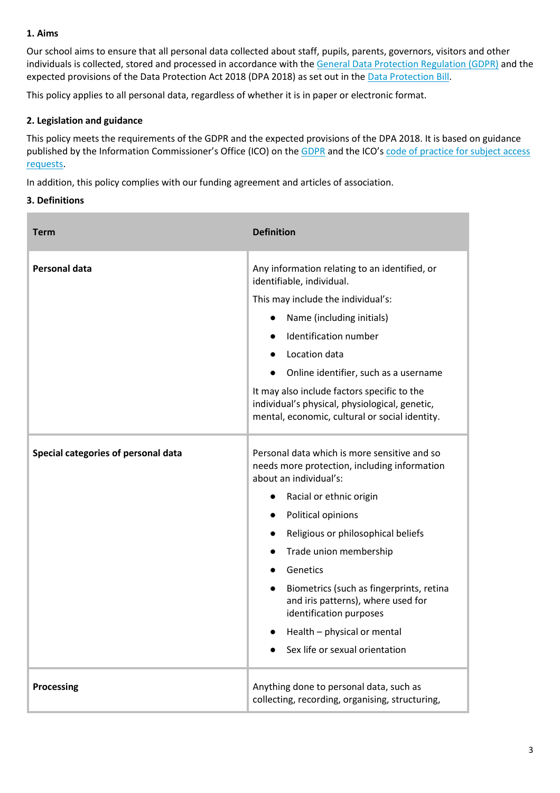## **1. Aims**

Our school aims to ensure that all personal data collected about staff, pupils, parents, governors, visitors and other individuals is collected, stored and processed in accordance with th[e General Data Protection Regulation \(GDPR\)](http://data.consilium.europa.eu/doc/document/ST-5419-2016-INIT/en/pdf) and the expected provisions of the Data Protection Act 2018 (DPA 2018) as set out in th[e Data Protection Bill.](https://publications.parliament.uk/pa/bills/cbill/2017-2019/0153/18153.pdf)

This policy applies to all personal data, regardless of whether it is in paper or electronic format.

## **2. Legislation and guidance**

This policy meets the requirements of the GDPR and the expected provisions of the DPA 2018. It is based on guidance published by the Information Commissioner's Office (ICO) on the [GDPR](https://ico.org.uk/for-organisations/guide-to-the-general-data-protection-regulation-gdpr/) and the ICO's code of practice for subject access [requests.](https://ico.org.uk/media/for-organisations/documents/2014223/subject-access-code-of-practice.pdf)

In addition, this policy complies with our funding agreement and articles of association.

## **3. Definitions**

| <b>Term</b>                         | <b>Definition</b>                                                                                                                                                                                                                                                                                                                                                                                                                                                                                  |
|-------------------------------------|----------------------------------------------------------------------------------------------------------------------------------------------------------------------------------------------------------------------------------------------------------------------------------------------------------------------------------------------------------------------------------------------------------------------------------------------------------------------------------------------------|
| <b>Personal data</b>                | Any information relating to an identified, or<br>identifiable, individual.<br>This may include the individual's:<br>Name (including initials)<br>Identification number<br>Location data<br>$\bullet$<br>Online identifier, such as a username<br>It may also include factors specific to the<br>individual's physical, physiological, genetic,<br>mental, economic, cultural or social identity.                                                                                                   |
| Special categories of personal data | Personal data which is more sensitive and so<br>needs more protection, including information<br>about an individual's:<br>Racial or ethnic origin<br>$\bullet$<br>Political opinions<br>$\bullet$<br>Religious or philosophical beliefs<br>Trade union membership<br>$\bullet$<br>Genetics<br>$\bullet$<br>Biometrics (such as fingerprints, retina<br>$\bullet$<br>and iris patterns), where used for<br>identification purposes<br>Health - physical or mental<br>Sex life or sexual orientation |
| <b>Processing</b>                   | Anything done to personal data, such as<br>collecting, recording, organising, structuring,                                                                                                                                                                                                                                                                                                                                                                                                         |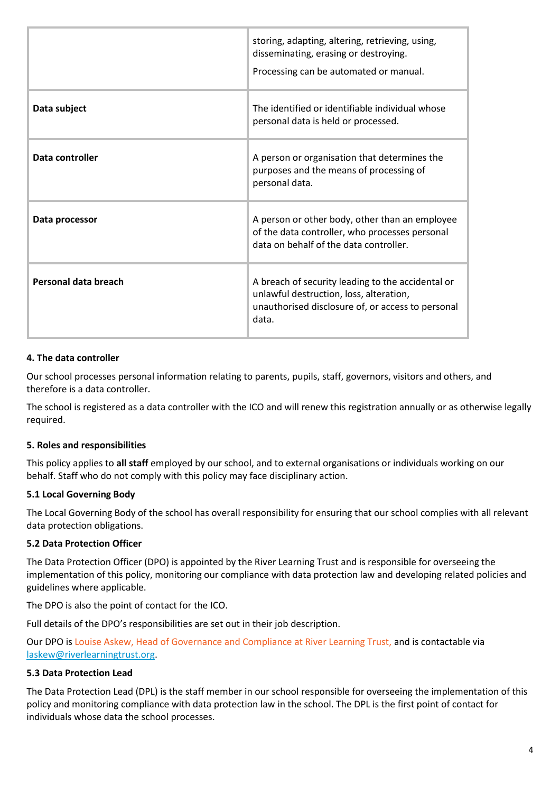|                      | storing, adapting, altering, retrieving, using,<br>disseminating, erasing or destroying.<br>Processing can be automated or manual.                         |
|----------------------|------------------------------------------------------------------------------------------------------------------------------------------------------------|
| Data subject         | The identified or identifiable individual whose<br>personal data is held or processed.                                                                     |
| Data controller      | A person or organisation that determines the<br>purposes and the means of processing of<br>personal data.                                                  |
| Data processor       | A person or other body, other than an employee<br>of the data controller, who processes personal<br>data on behalf of the data controller.                 |
| Personal data breach | A breach of security leading to the accidental or<br>unlawful destruction, loss, alteration,<br>unauthorised disclosure of, or access to personal<br>data. |

## **4. The data controller**

Our school processes personal information relating to parents, pupils, staff, governors, visitors and others, and therefore is a data controller.

The school is registered as a data controller with the ICO and will renew this registration annually or as otherwise legally required.

## **5. Roles and responsibilities**

This policy applies to **all staff** employed by our school, and to external organisations or individuals working on our behalf. Staff who do not comply with this policy may face disciplinary action.

## **5.1 Local Governing Body**

The Local Governing Body of the school has overall responsibility for ensuring that our school complies with all relevant data protection obligations.

## **5.2 Data Protection Officer**

The Data Protection Officer (DPO) is appointed by the River Learning Trust and is responsible for overseeing the implementation of this policy, monitoring our compliance with data protection law and developing related policies and guidelines where applicable.

The DPO is also the point of contact for the ICO.

Full details of the DPO's responsibilities are set out in their job description.

Our DPO is Louise Askew, Head of Governance and Compliance at River Learning Trust, and is contactable via [laskew@riverlearningtrust.org.](mailto:laskew@riverlearningtrust.org)

# **5.3 Data Protection Lead**

The Data Protection Lead (DPL) is the staff member in our school responsible for overseeing the implementation of this policy and monitoring compliance with data protection law in the school. The DPL is the first point of contact for individuals whose data the school processes.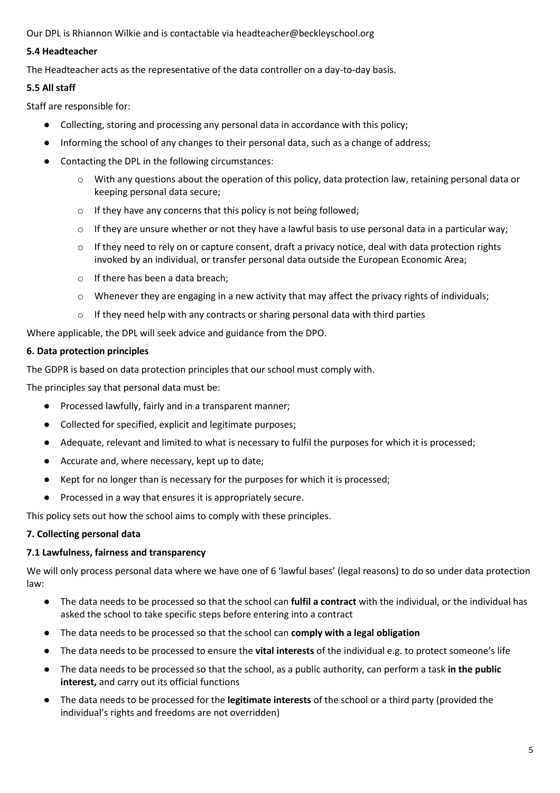Our DPL is Rhiannon Wilkie and is contactable via headteacher@beckleyschool.org

## **5.4 Headteacher**

The Headteacher acts as the representative of the data controller on a day-to-day basis.

# **5.5 All staff**

Staff are responsible for:

- Collecting, storing and processing any personal data in accordance with this policy;
- Informing the school of any changes to their personal data, such as a change of address;
- Contacting the DPL in the following circumstances:
	- o With any questions about the operation of this policy, data protection law, retaining personal data or keeping personal data secure;
	- o If they have any concerns that this policy is not being followed;
	- $\circ$  If they are unsure whether or not they have a lawful basis to use personal data in a particular way;
	- $\circ$  If they need to rely on or capture consent, draft a privacy notice, deal with data protection rights invoked by an individual, or transfer personal data outside the European Economic Area;
	- o If there has been a data breach;
	- $\circ$  Whenever they are engaging in a new activity that may affect the privacy rights of individuals;
	- o If they need help with any contracts or sharing personal data with third parties

Where applicable, the DPL will seek advice and guidance from the DPO.

# **6. Data protection principles**

The GDPR is based on data protection principles that our school must comply with.

The principles say that personal data must be:

- Processed lawfully, fairly and in a transparent manner;
- Collected for specified, explicit and legitimate purposes;
- Adequate, relevant and limited to what is necessary to fulfil the purposes for which it is processed;
- Accurate and, where necessary, kept up to date;
- Kept for no longer than is necessary for the purposes for which it is processed;
- Processed in a way that ensures it is appropriately secure.

This policy sets out how the school aims to comply with these principles.

## **7. Collecting personal data**

# **7.1 Lawfulness, fairness and transparency**

We will only process personal data where we have one of 6 'lawful bases' (legal reasons) to do so under data protection law:

- The data needs to be processed so that the school can **fulfil a contract** with the individual, or the individual has asked the school to take specific steps before entering into a contract
- The data needs to be processed so that the school can **comply with a legal obligation**
- The data needs to be processed to ensure the **vital interests** of the individual e.g. to protect someone's life
- The data needs to be processed so that the school, as a public authority, can perform a task **in the public interest,** and carry out its official functions
- The data needs to be processed for the **legitimate interests** of the school or a third party (provided the individual's rights and freedoms are not overridden)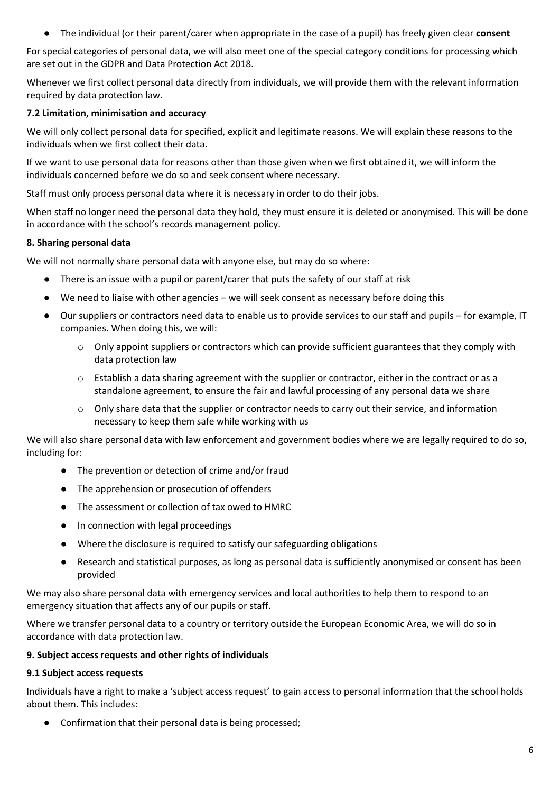● The individual (or their parent/carer when appropriate in the case of a pupil) has freely given clear **consent**

For special categories of personal data, we will also meet one of the special category conditions for processing which are set out in the GDPR and Data Protection Act 2018.

Whenever we first collect personal data directly from individuals, we will provide them with the relevant information required by data protection law.

## **7.2 Limitation, minimisation and accuracy**

We will only collect personal data for specified, explicit and legitimate reasons. We will explain these reasons to the individuals when we first collect their data.

If we want to use personal data for reasons other than those given when we first obtained it, we will inform the individuals concerned before we do so and seek consent where necessary.

Staff must only process personal data where it is necessary in order to do their jobs.

When staff no longer need the personal data they hold, they must ensure it is deleted or anonymised. This will be done in accordance with the school's records management policy.

# **8. Sharing personal data**

We will not normally share personal data with anyone else, but may do so where:

- There is an issue with a pupil or parent/carer that puts the safety of our staff at risk
- We need to liaise with other agencies we will seek consent as necessary before doing this
- Our suppliers or contractors need data to enable us to provide services to our staff and pupils for example, IT companies. When doing this, we will:
	- $\circ$  Only appoint suppliers or contractors which can provide sufficient guarantees that they comply with data protection law
	- $\circ$  Establish a data sharing agreement with the supplier or contractor, either in the contract or as a standalone agreement, to ensure the fair and lawful processing of any personal data we share
	- $\circ$  Only share data that the supplier or contractor needs to carry out their service, and information necessary to keep them safe while working with us

We will also share personal data with law enforcement and government bodies where we are legally required to do so, including for:

- The prevention or detection of crime and/or fraud
- The apprehension or prosecution of offenders
- The assessment or collection of tax owed to HMRC
- In connection with legal proceedings
- Where the disclosure is required to satisfy our safeguarding obligations
- Research and statistical purposes, as long as personal data is sufficiently anonymised or consent has been provided

We may also share personal data with emergency services and local authorities to help them to respond to an emergency situation that affects any of our pupils or staff.

Where we transfer personal data to a country or territory outside the European Economic Area, we will do so in accordance with data protection law.

## **9. Subject access requests and other rights of individuals**

## **9.1 Subject access requests**

Individuals have a right to make a 'subject access request' to gain access to personal information that the school holds about them. This includes:

● Confirmation that their personal data is being processed;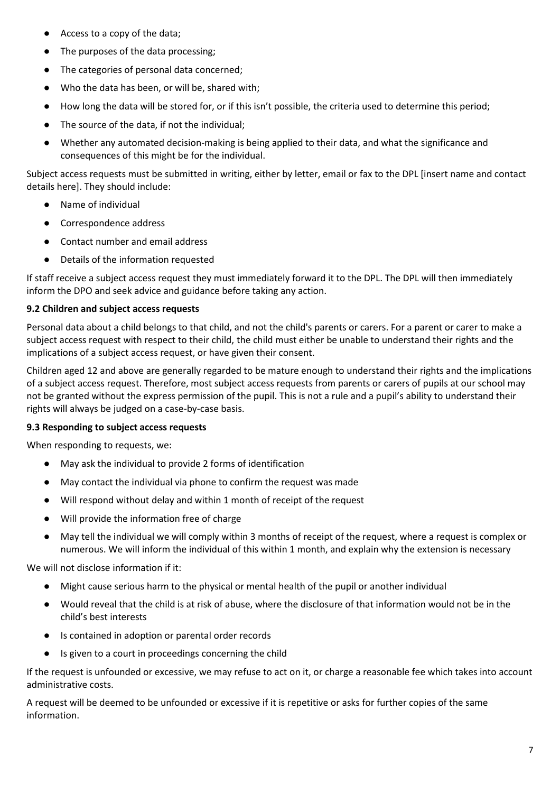- Access to a copy of the data;
- The purposes of the data processing;
- The categories of personal data concerned;
- Who the data has been, or will be, shared with;
- How long the data will be stored for, or if this isn't possible, the criteria used to determine this period;
- The source of the data, if not the individual;
- Whether any automated decision-making is being applied to their data, and what the significance and consequences of this might be for the individual.

Subject access requests must be submitted in writing, either by letter, email or fax to the DPL [insert name and contact details here]. They should include:

- Name of individual
- Correspondence address
- Contact number and email address
- Details of the information requested

If staff receive a subject access request they must immediately forward it to the DPL. The DPL will then immediately inform the DPO and seek advice and guidance before taking any action.

# **9.2 Children and subject access requests**

Personal data about a child belongs to that child, and not the child's parents or carers. For a parent or carer to make a subject access request with respect to their child, the child must either be unable to understand their rights and the implications of a subject access request, or have given their consent.

Children aged 12 and above are generally regarded to be mature enough to understand their rights and the implications of a subject access request. Therefore, most subject access requests from parents or carers of pupils at our school may not be granted without the express permission of the pupil. This is not a rule and a pupil's ability to understand their rights will always be judged on a case-by-case basis.

# **9.3 Responding to subject access requests**

When responding to requests, we:

- May ask the individual to provide 2 forms of identification
- May contact the individual via phone to confirm the request was made
- Will respond without delay and within 1 month of receipt of the request
- Will provide the information free of charge
- May tell the individual we will comply within 3 months of receipt of the request, where a request is complex or numerous. We will inform the individual of this within 1 month, and explain why the extension is necessary

We will not disclose information if it:

- Might cause serious harm to the physical or mental health of the pupil or another individual
- Would reveal that the child is at risk of abuse, where the disclosure of that information would not be in the child's best interests
- Is contained in adoption or parental order records
- Is given to a court in proceedings concerning the child

If the request is unfounded or excessive, we may refuse to act on it, or charge a reasonable fee which takes into account administrative costs.

A request will be deemed to be unfounded or excessive if it is repetitive or asks for further copies of the same information.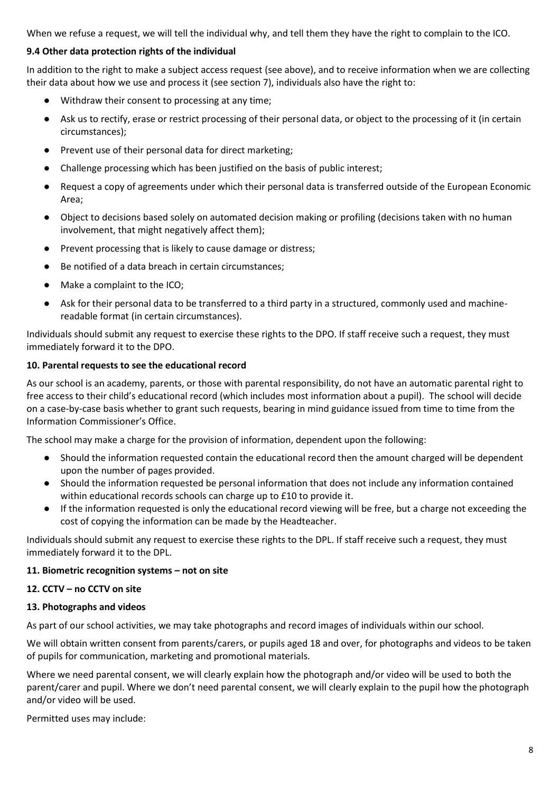When we refuse a request, we will tell the individual why, and tell them they have the right to complain to the ICO.

# **9.4 Other data protection rights of the individual**

In addition to the right to make a subject access request (see above), and to receive information when we are collecting their data about how we use and process it (see section 7), individuals also have the right to:

- Withdraw their consent to processing at any time;
- Ask us to rectify, erase or restrict processing of their personal data, or object to the processing of it (in certain circumstances);
- Prevent use of their personal data for direct marketing;
- Challenge processing which has been justified on the basis of public interest;
- Request a copy of agreements under which their personal data is transferred outside of the European Economic Area;
- Object to decisions based solely on automated decision making or profiling (decisions taken with no human involvement, that might negatively affect them);
- Prevent processing that is likely to cause damage or distress;
- Be notified of a data breach in certain circumstances;
- Make a complaint to the ICO;
- Ask for their personal data to be transferred to a third party in a structured, commonly used and machinereadable format (in certain circumstances).

Individuals should submit any request to exercise these rights to the DPO. If staff receive such a request, they must immediately forward it to the DPO.

# **10. Parental requests to see the educational record**

As our school is an academy, parents, or those with parental responsibility, do not have an automatic parental right to free access to their child's educational record (which includes most information about a pupil). The school will decide on a case-by-case basis whether to grant such requests, bearing in mind guidance issued from time to time from the Information Commissioner's Office.

The school may make a charge for the provision of information, dependent upon the following:

- Should the information requested contain the educational record then the amount charged will be dependent upon the number of pages provided.
- Should the information requested be personal information that does not include any information contained within educational records schools can charge up to £10 to provide it.
- If the information requested is only the educational record viewing will be free, but a charge not exceeding the cost of copying the information can be made by the Headteacher.

Individuals should submit any request to exercise these rights to the DPL. If staff receive such a request, they must immediately forward it to the DPL.

## **11. Biometric recognition systems – not on site**

## **12. CCTV – no CCTV on site**

## **13. Photographs and videos**

As part of our school activities, we may take photographs and record images of individuals within our school.

We will obtain written consent from parents/carers, or pupils aged 18 and over, for photographs and videos to be taken of pupils for communication, marketing and promotional materials.

Where we need parental consent, we will clearly explain how the photograph and/or video will be used to both the parent/carer and pupil. Where we don't need parental consent, we will clearly explain to the pupil how the photograph and/or video will be used.

Permitted uses may include: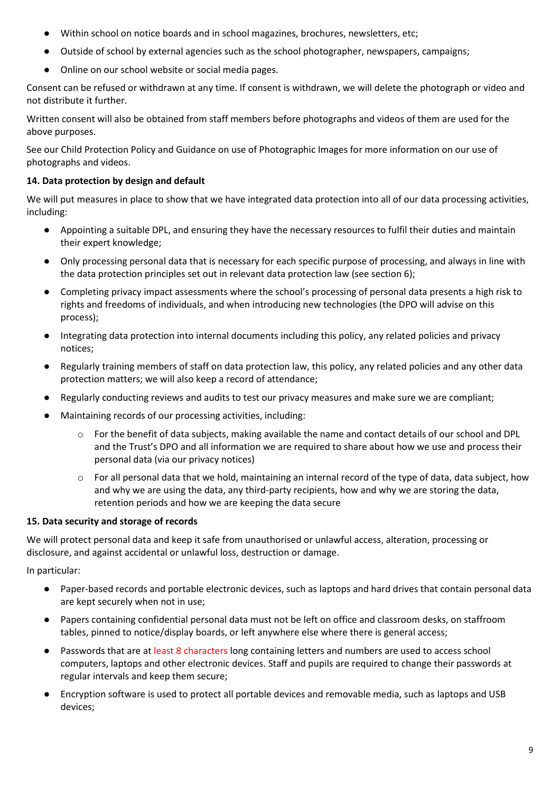- Within school on notice boards and in school magazines, brochures, newsletters, etc;
- Outside of school by external agencies such as the school photographer, newspapers, campaigns;
- Online on our school website or social media pages.

Consent can be refused or withdrawn at any time. If consent is withdrawn, we will delete the photograph or video and not distribute it further.

Written consent will also be obtained from staff members before photographs and videos of them are used for the above purposes.

See our Child Protection Policy and Guidance on use of Photographic Images for more information on our use of photographs and videos.

## **14. Data protection by design and default**

We will put measures in place to show that we have integrated data protection into all of our data processing activities, including:

- Appointing a suitable DPL, and ensuring they have the necessary resources to fulfil their duties and maintain their expert knowledge;
- Only processing personal data that is necessary for each specific purpose of processing, and always in line with the data protection principles set out in relevant data protection law (see section 6);
- Completing privacy impact assessments where the school's processing of personal data presents a high risk to rights and freedoms of individuals, and when introducing new technologies (the DPO will advise on this process);
- Integrating data protection into internal documents including this policy, any related policies and privacy notices;
- Regularly training members of staff on data protection law, this policy, any related policies and any other data protection matters; we will also keep a record of attendance;
- Regularly conducting reviews and audits to test our privacy measures and make sure we are compliant;
- Maintaining records of our processing activities, including:
	- o For the benefit of data subjects, making available the name and contact details of our school and DPL and the Trust's DPO and all information we are required to share about how we use and process their personal data (via our privacy notices)
	- o For all personal data that we hold, maintaining an internal record of the type of data, data subject, how and why we are using the data, any third-party recipients, how and why we are storing the data, retention periods and how we are keeping the data secure

## **15. Data security and storage of records**

We will protect personal data and keep it safe from unauthorised or unlawful access, alteration, processing or disclosure, and against accidental or unlawful loss, destruction or damage.

In particular:

- Paper-based records and portable electronic devices, such as laptops and hard drives that contain personal data are kept securely when not in use;
- Papers containing confidential personal data must not be left on office and classroom desks, on staffroom tables, pinned to notice/display boards, or left anywhere else where there is general access;
- Passwords that are at least 8 characters long containing letters and numbers are used to access school computers, laptops and other electronic devices. Staff and pupils are required to change their passwords at regular intervals and keep them secure;
- Encryption software is used to protect all portable devices and removable media, such as laptops and USB devices;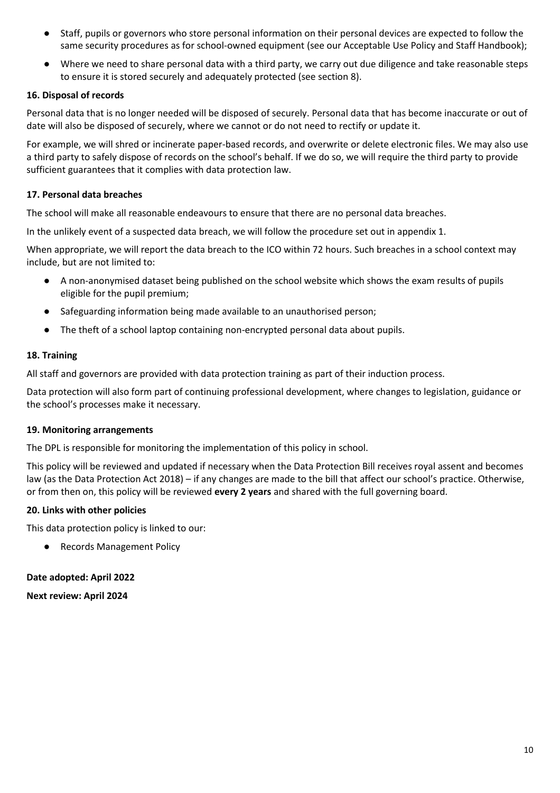- Staff, pupils or governors who store personal information on their personal devices are expected to follow the same security procedures as for school-owned equipment (see our Acceptable Use Policy and Staff Handbook);
- Where we need to share personal data with a third party, we carry out due diligence and take reasonable steps to ensure it is stored securely and adequately protected (see section 8).

## **16. Disposal of records**

Personal data that is no longer needed will be disposed of securely. Personal data that has become inaccurate or out of date will also be disposed of securely, where we cannot or do not need to rectify or update it.

For example, we will shred or incinerate paper-based records, and overwrite or delete electronic files. We may also use a third party to safely dispose of records on the school's behalf. If we do so, we will require the third party to provide sufficient guarantees that it complies with data protection law.

## **17. Personal data breaches**

The school will make all reasonable endeavours to ensure that there are no personal data breaches.

In the unlikely event of a suspected data breach, we will follow the procedure set out in appendix 1.

When appropriate, we will report the data breach to the ICO within 72 hours. Such breaches in a school context may include, but are not limited to:

- A non-anonymised dataset being published on the school website which shows the exam results of pupils eligible for the pupil premium;
- Safeguarding information being made available to an unauthorised person;
- The theft of a school laptop containing non-encrypted personal data about pupils.

## **18. Training**

All staff and governors are provided with data protection training as part of their induction process.

Data protection will also form part of continuing professional development, where changes to legislation, guidance or the school's processes make it necessary.

## **19. Monitoring arrangements**

The DPL is responsible for monitoring the implementation of this policy in school.

This policy will be reviewed and updated if necessary when the Data Protection Bill receives royal assent and becomes law (as the Data Protection Act 2018) – if any changes are made to the bill that affect our school's practice. Otherwise, or from then on, this policy will be reviewed **every 2 years** and shared with the full governing board.

## **20. Links with other policies**

This data protection policy is linked to our:

● Records Management Policy

## **Date adopted: April 2022**

**Next review: April 2024**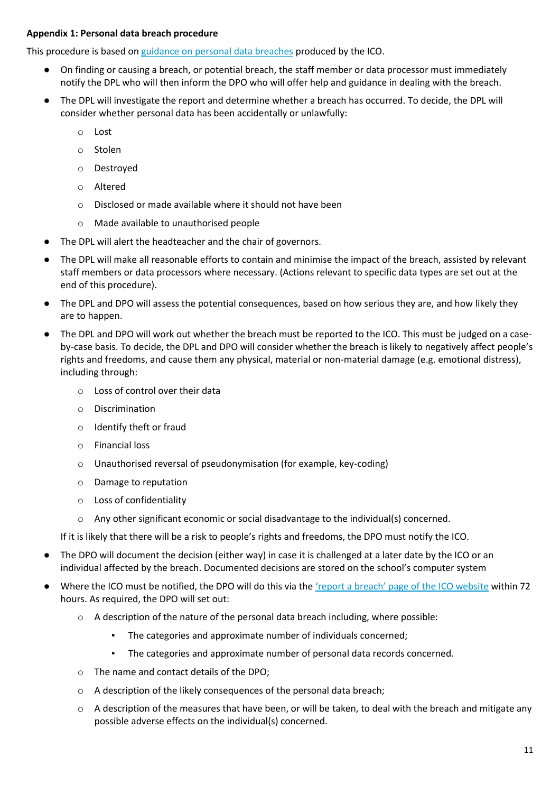## **Appendix 1: Personal data breach procedure**

This procedure is based on [guidance on personal data breaches](https://ico.org.uk/for-organisations/guide-to-the-general-data-protection-regulation-gdpr/personal-data-breaches/) produced by the ICO.

- On finding or causing a breach, or potential breach, the staff member or data processor must immediately notify the DPL who will then inform the DPO who will offer help and guidance in dealing with the breach.
- The DPL will investigate the report and determine whether a breach has occurred. To decide, the DPL will consider whether personal data has been accidentally or unlawfully:
	- o Lost
	- o Stolen
	- o Destroyed
	- o Altered
	- o Disclosed or made available where it should not have been
	- o Made available to unauthorised people
- The DPL will alert the headteacher and the chair of governors.
- The DPL will make all reasonable efforts to contain and minimise the impact of the breach, assisted by relevant staff members or data processors where necessary. (Actions relevant to specific data types are set out at the end of this procedure).
- The DPL and DPO will assess the potential consequences, based on how serious they are, and how likely they are to happen.
- The DPL and DPO will work out whether the breach must be reported to the ICO. This must be judged on a caseby-case basis. To decide, the DPL and DPO will consider whether the breach is likely to negatively affect people's rights and freedoms, and cause them any physical, material or non-material damage (e.g. emotional distress), including through:
	- o Loss of control over their data
	- o Discrimination
	- o Identify theft or fraud
	- o Financial loss
	- o Unauthorised reversal of pseudonymisation (for example, key-coding)
	- o Damage to reputation
	- o Loss of confidentiality
	- o Any other significant economic or social disadvantage to the individual(s) concerned.

If it is likely that there will be a risk to people's rights and freedoms, the DPO must notify the ICO.

- The DPO will document the decision (either way) in case it is challenged at a later date by the ICO or an individual affected by the breach. Documented decisions are stored on the school's computer system
- Where the ICO must be notified, the DPO will do this via the ['report a breach' page of the ICO website](https://ico.org.uk/for-organisations/report-a-breach/) within 72 hours. As required, the DPO will set out:
	- $\circ$  A description of the nature of the personal data breach including, where possible:
		- The categories and approximate number of individuals concerned;
		- The categories and approximate number of personal data records concerned.
	- o The name and contact details of the DPO;
	- o A description of the likely consequences of the personal data breach;
	- $\circ$  A description of the measures that have been, or will be taken, to deal with the breach and mitigate any possible adverse effects on the individual(s) concerned.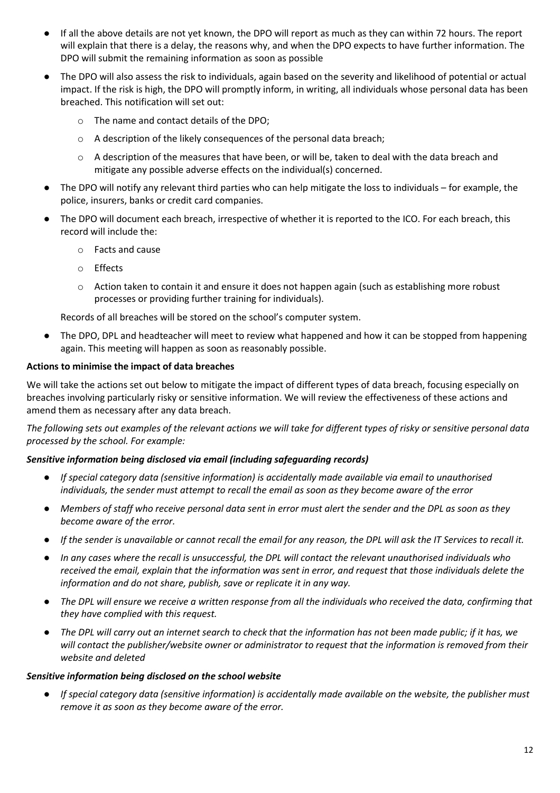- If all the above details are not yet known, the DPO will report as much as they can within 72 hours. The report will explain that there is a delay, the reasons why, and when the DPO expects to have further information. The DPO will submit the remaining information as soon as possible
- The DPO will also assess the risk to individuals, again based on the severity and likelihood of potential or actual impact. If the risk is high, the DPO will promptly inform, in writing, all individuals whose personal data has been breached. This notification will set out:
	- o The name and contact details of the DPO;
	- o A description of the likely consequences of the personal data breach;
	- o A description of the measures that have been, or will be, taken to deal with the data breach and mitigate any possible adverse effects on the individual(s) concerned.
- The DPO will notify any relevant third parties who can help mitigate the loss to individuals for example, the police, insurers, banks or credit card companies.
- The DPO will document each breach, irrespective of whether it is reported to the ICO. For each breach, this record will include the:
	- o Facts and cause
	- o Effects
	- o Action taken to contain it and ensure it does not happen again (such as establishing more robust processes or providing further training for individuals).

Records of all breaches will be stored on the school's computer system.

The DPO, DPL and headteacher will meet to review what happened and how it can be stopped from happening again. This meeting will happen as soon as reasonably possible.

## **Actions to minimise the impact of data breaches**

We will take the actions set out below to mitigate the impact of different types of data breach, focusing especially on breaches involving particularly risky or sensitive information. We will review the effectiveness of these actions and amend them as necessary after any data breach.

*The following sets out examples of the relevant actions we will take for different types of risky or sensitive personal data processed by the school. For example:*

## *Sensitive information being disclosed via email (including safeguarding records)*

- *If special category data (sensitive information) is accidentally made available via email to unauthorised individuals, the sender must attempt to recall the email as soon as they become aware of the error*
- *Members of staff who receive personal data sent in error must alert the sender and the DPL as soon as they become aware of the error.*
- *If the sender is unavailable or cannot recall the email for any reason, the DPL will ask the IT Services to recall it.*
- *In any cases where the recall is unsuccessful, the DPL will contact the relevant unauthorised individuals who received the email, explain that the information was sent in error, and request that those individuals delete the information and do not share, publish, save or replicate it in any way.*
- The DPL will ensure we receive a written response from all the individuals who received the data, confirming that *they have complied with this request.*
- The DPL will carry out an internet search to check that the information has not been made public; if it has, we *will contact the publisher/website owner or administrator to request that the information is removed from their website and deleted*

## *Sensitive information being disclosed on the school website*

● *If special category data (sensitive information) is accidentally made available on the website, the publisher must remove it as soon as they become aware of the error.*